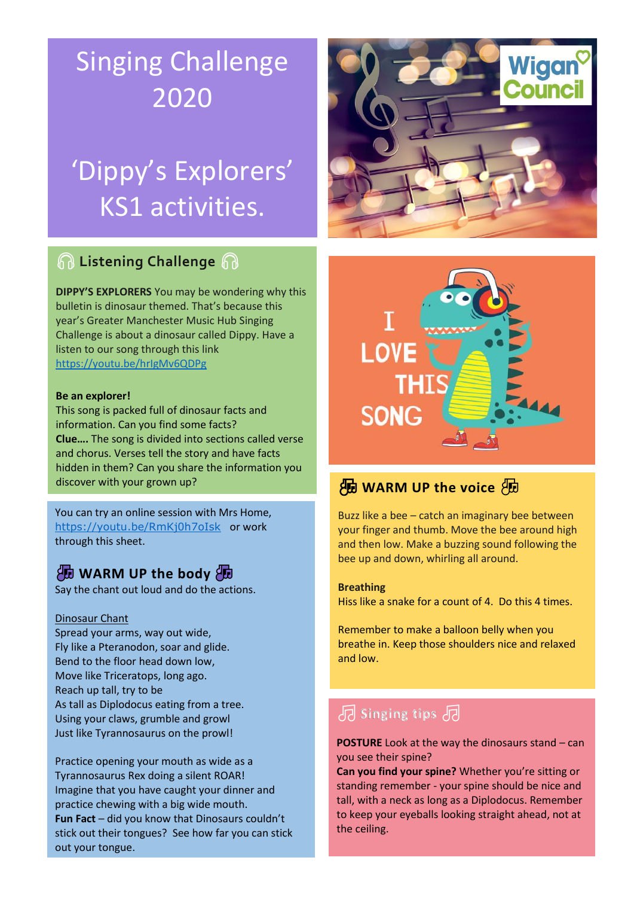# Singing Challenge 2020

# 'Dippy's Explorers' KS1 activities.

## **A** Listening Challenge A

**DIPPY'S EXPLORERS** You may be wondering why this bulletin is dinosaur themed. That's because this year's Greater Manchester Music Hub Singing Challenge is about a dinosaur called Dippy. Have a listen to our song through this link <https://youtu.be/hrIgMv6QDPg>

### **Be an explorer!**

This song is packed full of dinosaur facts and information. Can you find some facts? **Clue….** The song is divided into sections called verse and chorus. Verses tell the story and have facts hidden in them? Can you share the information you discover with your grown up?

You can try an online session with Mrs Home, <https://youtu.be/RmKj0h7oIsk> or work through this sheet.

### **AD WARM UP the body AD**

Say the chant out loud and do the actions.

### Dinosaur Chant

Spread your arms, way out wide, Fly like a Pteranodon, soar and glide. Bend to the floor head down low, Move like Triceratops, long ago. Reach up tall, try to be As tall as Diplodocus eating from a tree. Using your claws, grumble and growl Just like Tyrannosaurus on the prowl!

Practice opening your mouth as wide as a Tyrannosaurus Rex doing a silent ROAR! Imagine that you have caught your dinner and practice chewing with a big wide mouth. **Fun Fact** – did you know that Dinosaurs couldn't stick out their tongues? See how far you can stick out your tongue.





## **HD** WARM UP the voice BD

Buzz like a bee – catch an imaginary bee between your finger and thumb. Move the bee around high and then low. Make a buzzing sound following the bee up and down, whirling all around.

### **Breathing**

Hiss like a snake for a count of 4. Do this 4 times.

Remember to make a balloon belly when you breathe in. Keep those shoulders nice and relaxed and low.

## **B** Singing tips B

**POSTURE** Look at the way the dinosaurs stand – can you see their spine?

**Can you find your spine?** Whether you're sitting or standing remember - your spine should be nice and tall, with a neck as long as a Diplodocus. Remember to keep your eyeballs looking straight ahead, not at the ceiling.